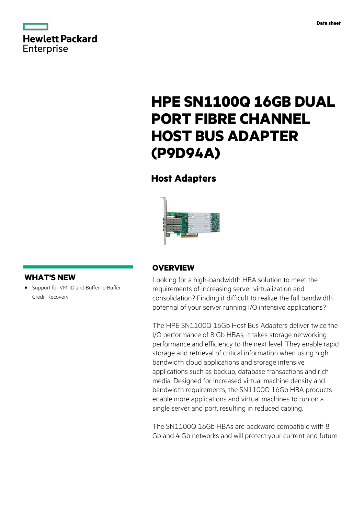



# **HPE SN1100Q 16GB DUAL PORT FIBRE CHANNEL HOST BUS ADAPTER (P9D94A)**

## **Host Adapters**



### **WHAT'S NEW**

**·** Support for VM-ID and Buffer to Buffer Credit Recovery

### **OVERVIEW**

Looking for a high-bandwidth HBA solution to meet the requirements of increasing server virtualization and consolidation? Finding it difficult to realize the full bandwidth potential of your server running I/O intensive applications?

The HPE SN1100Q 16Gb Host Bus Adapters deliver twice the I/O performance of 8 Gb HBAs, it takes storage networking performance and efficiency to the next level. They enable rapid storage and retrieval of critical information when using high bandwidth cloud applications and storage intensive applications such as backup, database transactions and rich media. Designed for increased virtual machine density and bandwidth requirements, the SN1100Q 16Gb HBA products enable more applications and virtual machines to run on a single server and port, resulting in reduced cabling.

The SN1100Q 16Gb HBAs are backward compatible with 8 Gb and 4 Gb networks and will protect your current and future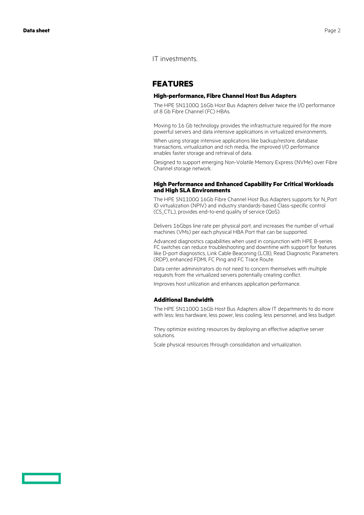### IT investments.

### **FEATURES**

#### **High-performance, Fibre Channel Host Bus Adapters**

The HPE SN1100Q 16Gb Host Bus Adapters deliver twice the I/O performance of 8 Gb Fibre Channel (FC) HBAs.

Moving to 16 Gb technology provides the infrastructure required for the more powerful servers and data intensive applications in virtualized environments.

When using storage intensive applications like backup/restore, database transactions, virtualization and rich media, the improved I/O performance enables faster storage and retrieval of data.

Designed to support emerging Non-Volatile Memory Express (NVMe) over Fibre Channel storage network.

#### **High Performance and Enhanced Capability For Critical Workloads and High SLA Environments**

The HPE SN1100Q 16Gb Fibre Channel Host Bus Adapters supports for N\_Port ID virtualization (NPIV) and industry standards-based Class-specific control (CS\_CTL), provides end-to-end quality of service (QoS).

Delivers 16Gbps line rate per physical port, and increases the number of virtual machines (VMs) per each physical HBA Port that can be supported.

Advanced diagnostics capabilities when used in conjunction with HPE B-series FC switches can reduce troubleshooting and downtime with support for features like D-port diagnostics, Link Cable Beaconing (LCB), Read Diagnostic Parameters (RDP), enhanced FDMI, FC Ping and FC Trace Route.

Data center administrators do not need to concern themselves with multiple requests from the virtualized servers potentially creating conflict.

Improves host utilization and enhances application performance.

#### **Additional Bandwidth**

The HPE SN1100Q 16Gb Host Bus Adapters allow IT departments to do more with less: less hardware, less power, less cooling, less personnel, and less budget.

They optimize existing resources by deploying an effective adaptive server solutions.

Scale physical resources through consolidation and virtualization.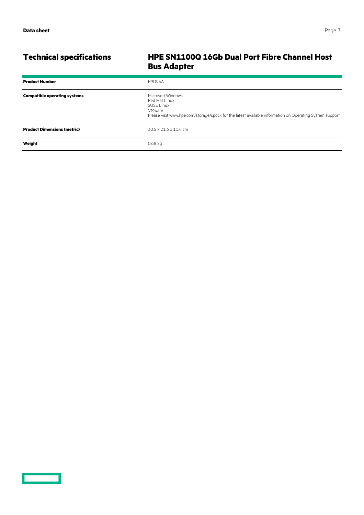<u>a sa saidh an san Saorann an S</u>

### **Technical specifications HPE SN1100Q 16Gb Dual Port Fibre Channel Host Bus Adapter**

| <b>Product Number</b>               | <b>P9D94A</b>                                                                                                                                                                       |
|-------------------------------------|-------------------------------------------------------------------------------------------------------------------------------------------------------------------------------------|
| <b>Compatible operating systems</b> | Microsoft Windows<br>Red Hat Linux<br><b>SUSE Linux</b><br><b>VMware</b><br>Please visit www.hpe.com/storage/spock for the latest available information on Operating System support |
| <b>Product Dimensions (metric)</b>  | $30.5 \times 21.6 \times 11.4$ cm                                                                                                                                                   |
| Weight                              | $0.68$ kg                                                                                                                                                                           |